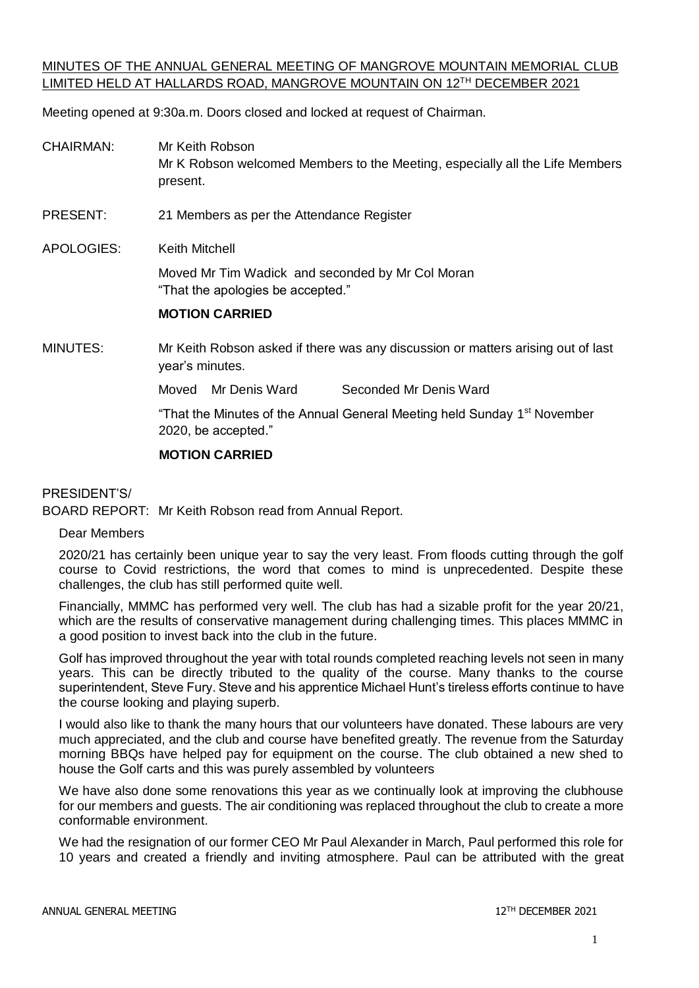## MINUTES OF THE ANNUAL GENERAL MEETING OF MANGROVE MOUNTAIN MEMORIAL CLUB LIMITED HELD AT HALLARDS ROAD, MANGROVE MOUNTAIN ON 12TH DECEMBER 2021

Meeting opened at 9:30a.m. Doors closed and locked at request of Chairman.

- CHAIRMAN: Mr Keith Robson Mr K Robson welcomed Members to the Meeting, especially all the Life Members present.
- PRESENT: 21 Members as per the Attendance Register

APOLOGIES: Keith Mitchell

Moved Mr Tim Wadick and seconded by Mr Col Moran "That the apologies be accepted."

#### **MOTION CARRIED**

MINUTES: Mr Keith Robson asked if there was any discussion or matters arising out of last year's minutes.

Moved Mr Denis Ward Seconded Mr Denis Ward

"That the Minutes of the Annual General Meeting held Sunday 1<sup>st</sup> November 2020, be accepted."

#### **MOTION CARRIED**

#### PRESIDENT'S/

BOARD REPORT: Mr Keith Robson read from Annual Report.

#### Dear Members

2020/21 has certainly been unique year to say the very least. From floods cutting through the golf course to Covid restrictions, the word that comes to mind is unprecedented. Despite these challenges, the club has still performed quite well.

Financially, MMMC has performed very well. The club has had a sizable profit for the year 20/21, which are the results of conservative management during challenging times. This places MMMC in a good position to invest back into the club in the future.

Golf has improved throughout the year with total rounds completed reaching levels not seen in many years. This can be directly tributed to the quality of the course. Many thanks to the course superintendent, Steve Fury. Steve and his apprentice Michael Hunt's tireless efforts continue to have the course looking and playing superb.

I would also like to thank the many hours that our volunteers have donated. These labours are very much appreciated, and the club and course have benefited greatly. The revenue from the Saturday morning BBQs have helped pay for equipment on the course. The club obtained a new shed to house the Golf carts and this was purely assembled by volunteers

We have also done some renovations this year as we continually look at improving the clubhouse for our members and guests. The air conditioning was replaced throughout the club to create a more conformable environment.

We had the resignation of our former CEO Mr Paul Alexander in March, Paul performed this role for 10 years and created a friendly and inviting atmosphere. Paul can be attributed with the great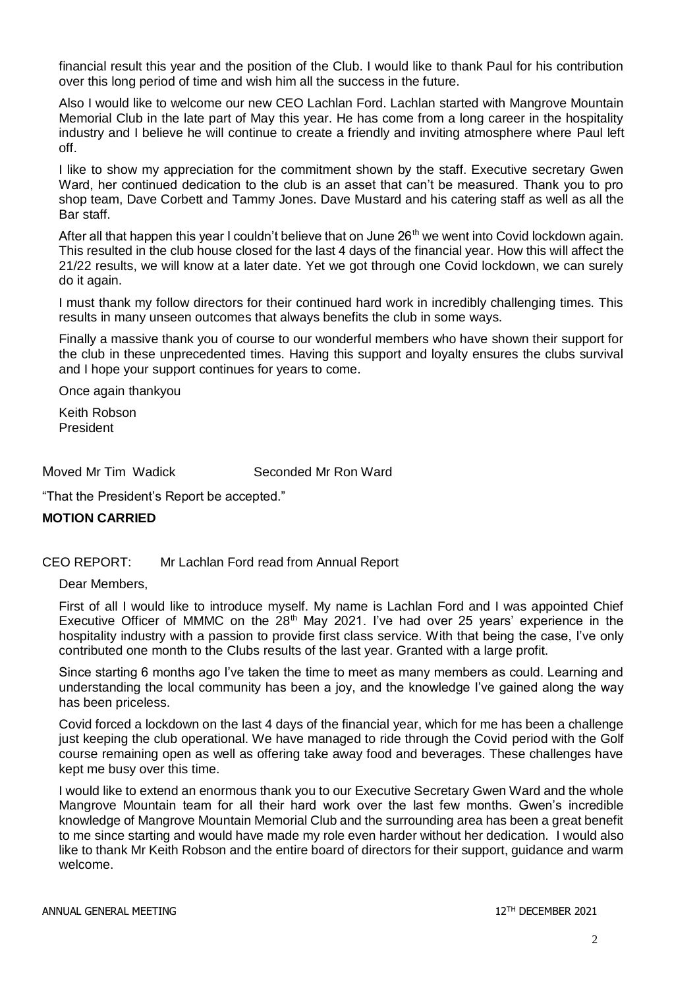financial result this year and the position of the Club. I would like to thank Paul for his contribution over this long period of time and wish him all the success in the future.

Also I would like to welcome our new CEO Lachlan Ford. Lachlan started with Mangrove Mountain Memorial Club in the late part of May this year. He has come from a long career in the hospitality industry and I believe he will continue to create a friendly and inviting atmosphere where Paul left off.

I like to show my appreciation for the commitment shown by the staff. Executive secretary Gwen Ward, her continued dedication to the club is an asset that can't be measured. Thank you to pro shop team, Dave Corbett and Tammy Jones. Dave Mustard and his catering staff as well as all the Bar staff.

After all that happen this year I couldn't believe that on June  $26<sup>th</sup>$  we went into Covid lockdown again. This resulted in the club house closed for the last 4 days of the financial year. How this will affect the 21/22 results, we will know at a later date. Yet we got through one Covid lockdown, we can surely do it again.

I must thank my follow directors for their continued hard work in incredibly challenging times. This results in many unseen outcomes that always benefits the club in some ways.

Finally a massive thank you of course to our wonderful members who have shown their support for the club in these unprecedented times. Having this support and loyalty ensures the clubs survival and I hope your support continues for years to come.

Once again thankyou

Keith Robson President

Moved Mr Tim Wadick Seconded Mr Ron Ward

"That the President's Report be accepted."

#### **MOTION CARRIED**

## CEO REPORT: Mr Lachlan Ford read from Annual Report

Dear Members,

First of all I would like to introduce myself. My name is Lachlan Ford and I was appointed Chief Executive Officer of MMMC on the  $28<sup>th</sup>$  May 2021. I've had over 25 years' experience in the hospitality industry with a passion to provide first class service. With that being the case, I've only contributed one month to the Clubs results of the last year. Granted with a large profit.

Since starting 6 months ago I've taken the time to meet as many members as could. Learning and understanding the local community has been a joy, and the knowledge I've gained along the way has been priceless.

Covid forced a lockdown on the last 4 days of the financial year, which for me has been a challenge just keeping the club operational. We have managed to ride through the Covid period with the Golf course remaining open as well as offering take away food and beverages. These challenges have kept me busy over this time.

I would like to extend an enormous thank you to our Executive Secretary Gwen Ward and the whole Mangrove Mountain team for all their hard work over the last few months. Gwen's incredible knowledge of Mangrove Mountain Memorial Club and the surrounding area has been a great benefit to me since starting and would have made my role even harder without her dedication. I would also like to thank Mr Keith Robson and the entire board of directors for their support, guidance and warm welcome.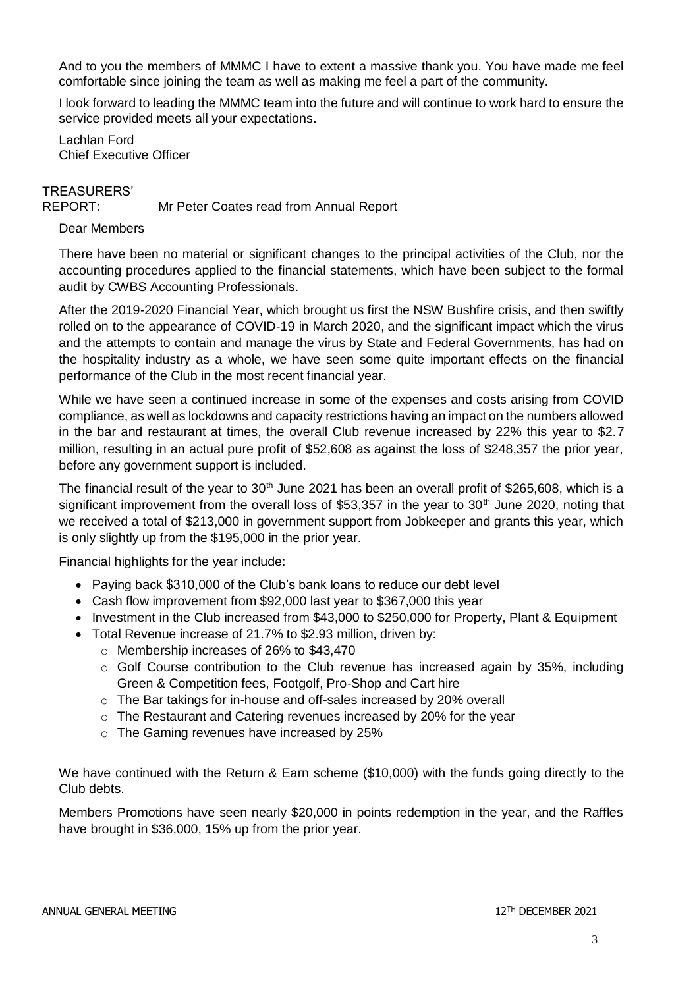And to you the members of MMMC I have to extent a massive thank you. You have made me feel comfortable since joining the team as well as making me feel a part of the community.

I look forward to leading the MMMC team into the future and will continue to work hard to ensure the service provided meets all your expectations.

Lachlan Ford Chief Executive Officer

# TREASURERS'

REPORT: Mr Peter Coates read from Annual Report

## Dear Members

There have been no material or significant changes to the principal activities of the Club, nor the accounting procedures applied to the financial statements, which have been subject to the formal audit by CWBS Accounting Professionals.

After the 2019-2020 Financial Year, which brought us first the NSW Bushfire crisis, and then swiftly rolled on to the appearance of COVID-19 in March 2020, and the significant impact which the virus and the attempts to contain and manage the virus by State and Federal Governments, has had on the hospitality industry as a whole, we have seen some quite important effects on the financial performance of the Club in the most recent financial year.

While we have seen a continued increase in some of the expenses and costs arising from COVID compliance, as well as lockdowns and capacity restrictions having an impact on the numbers allowed in the bar and restaurant at times, the overall Club revenue increased by 22% this year to \$2.7 million, resulting in an actual pure profit of \$52,608 as against the loss of \$248,357 the prior year, before any government support is included.

The financial result of the year to  $30<sup>th</sup>$  June 2021 has been an overall profit of \$265,608, which is a significant improvement from the overall loss of \$53,357 in the year to  $30<sup>th</sup>$  June 2020, noting that we received a total of \$213,000 in government support from Jobkeeper and grants this year, which is only slightly up from the \$195,000 in the prior year.

Financial highlights for the year include:

- Paying back \$310,000 of the Club's bank loans to reduce our debt level
- Cash flow improvement from \$92,000 last year to \$367,000 this year
- Investment in the Club increased from \$43,000 to \$250,000 for Property, Plant & Equipment
- Total Revenue increase of 21.7% to \$2.93 million, driven by:
	- o Membership increases of 26% to \$43,470
	- $\circ$  Golf Course contribution to the Club revenue has increased again by 35%, including Green & Competition fees, Footgolf, Pro-Shop and Cart hire
	- o The Bar takings for in-house and off-sales increased by 20% overall
	- o The Restaurant and Catering revenues increased by 20% for the year
	- o The Gaming revenues have increased by 25%

We have continued with the Return & Earn scheme (\$10,000) with the funds going directly to the Club debts.

Members Promotions have seen nearly \$20,000 in points redemption in the year, and the Raffles have brought in \$36,000, 15% up from the prior year.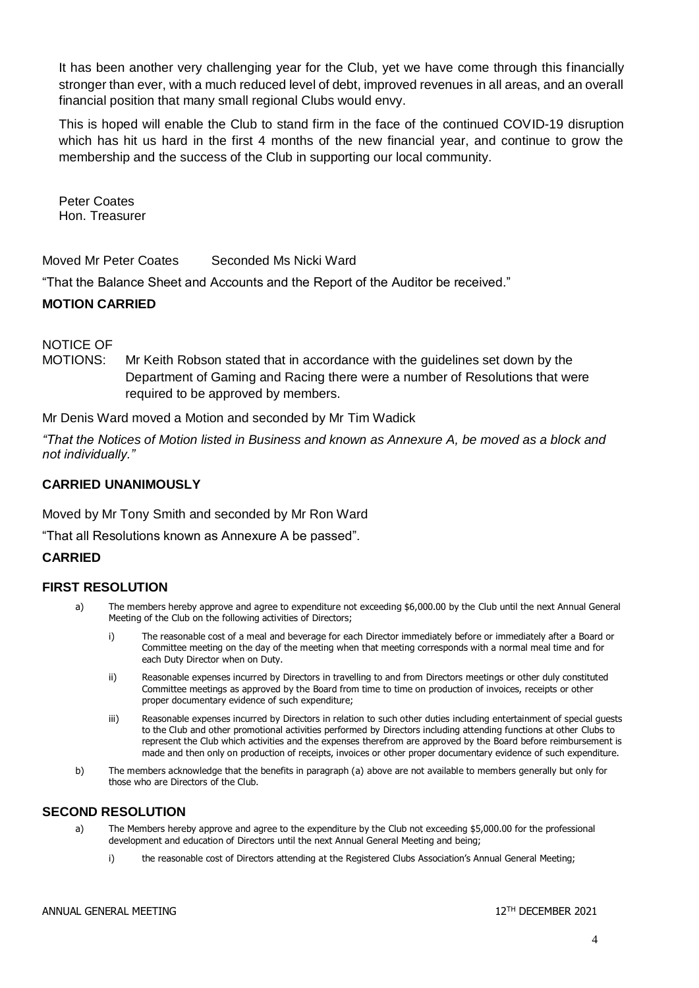It has been another very challenging year for the Club, yet we have come through this financially stronger than ever, with a much reduced level of debt, improved revenues in all areas, and an overall financial position that many small regional Clubs would envy.

This is hoped will enable the Club to stand firm in the face of the continued COVID-19 disruption which has hit us hard in the first 4 months of the new financial year, and continue to grow the membership and the success of the Club in supporting our local community.

Peter Coates Hon. Treasurer

Moved Mr Peter Coates Seconded Ms Nicki Ward

"That the Balance Sheet and Accounts and the Report of the Auditor be received."

## **MOTION CARRIED**

NOTICE OF

MOTIONS: Mr Keith Robson stated that in accordance with the guidelines set down by the Department of Gaming and Racing there were a number of Resolutions that were required to be approved by members.

Mr Denis Ward moved a Motion and seconded by Mr Tim Wadick

*"That the Notices of Motion listed in Business and known as Annexure A, be moved as a block and not individually."*

## **CARRIED UNANIMOUSLY**

Moved by Mr Tony Smith and seconded by Mr Ron Ward

"That all Resolutions known as Annexure A be passed".

## **CARRIED**

## **FIRST RESOLUTION**

- a) The members hereby approve and agree to expenditure not exceeding \$6,000.00 by the Club until the next Annual General Meeting of the Club on the following activities of Directors;
	- i) The reasonable cost of a meal and beverage for each Director immediately before or immediately after a Board or Committee meeting on the day of the meeting when that meeting corresponds with a normal meal time and for each Duty Director when on Duty.
	- ii) Reasonable expenses incurred by Directors in travelling to and from Directors meetings or other duly constituted Committee meetings as approved by the Board from time to time on production of invoices, receipts or other proper documentary evidence of such expenditure;
	- iii) Reasonable expenses incurred by Directors in relation to such other duties including entertainment of special guests to the Club and other promotional activities performed by Directors including attending functions at other Clubs to represent the Club which activities and the expenses therefrom are approved by the Board before reimbursement is made and then only on production of receipts, invoices or other proper documentary evidence of such expenditure.
- b) The members acknowledge that the benefits in paragraph (a) above are not available to members generally but only for those who are Directors of the Club.

## **SECOND RESOLUTION**

- a) The Members hereby approve and agree to the expenditure by the Club not exceeding \$5,000.00 for the professional development and education of Directors until the next Annual General Meeting and being;
	- i) the reasonable cost of Directors attending at the Registered Clubs Association's Annual General Meeting;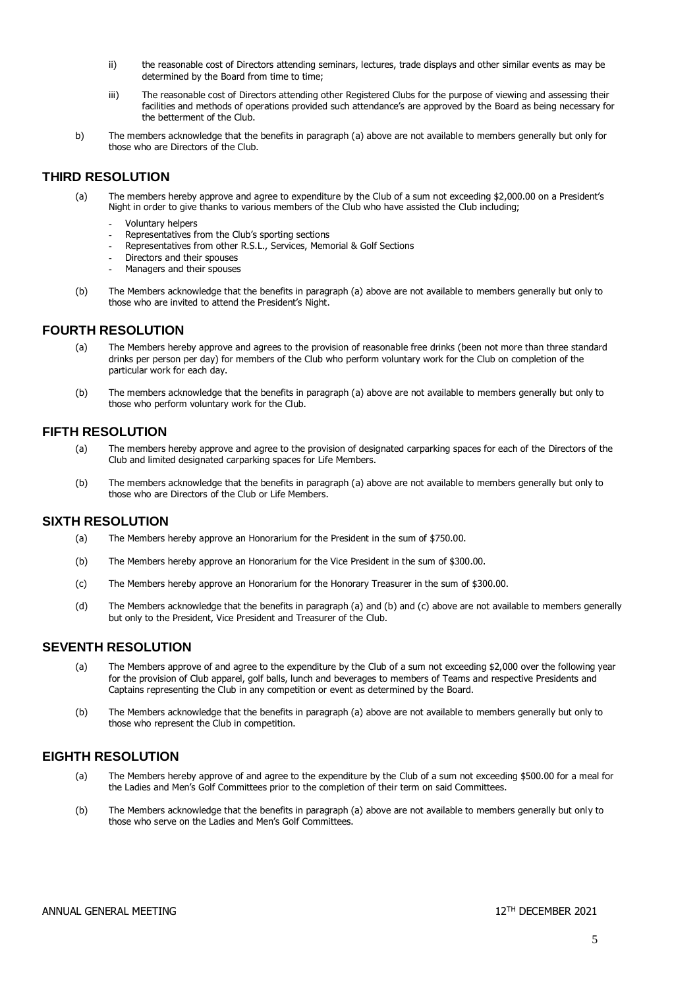- ii) the reasonable cost of Directors attending seminars, lectures, trade displays and other similar events as may be determined by the Board from time to time:
- iii) The reasonable cost of Directors attending other Registered Clubs for the purpose of viewing and assessing their facilities and methods of operations provided such attendance's are approved by the Board as being necessary for the betterment of the Club.
- b) The members acknowledge that the benefits in paragraph (a) above are not available to members generally but only for those who are Directors of the Club.

#### **THIRD RESOLUTION**

- (a) The members hereby approve and agree to expenditure by the Club of a sum not exceeding \$2,000.00 on a President's Night in order to give thanks to various members of the Club who have assisted the Club including;
	- Voluntary helpers
	- Representatives from the Club's sporting sections
	- Representatives from other R.S.L., Services, Memorial & Golf Sections
	- Directors and their spouses
	- Managers and their spouses
- (b) The Members acknowledge that the benefits in paragraph (a) above are not available to members generally but only to those who are invited to attend the President's Night.

#### **FOURTH RESOLUTION**

- (a) The Members hereby approve and agrees to the provision of reasonable free drinks (been not more than three standard drinks per person per day) for members of the Club who perform voluntary work for the Club on completion of the particular work for each day.
- (b) The members acknowledge that the benefits in paragraph (a) above are not available to members generally but only to those who perform voluntary work for the Club.

#### **FIFTH RESOLUTION**

- (a) The members hereby approve and agree to the provision of designated carparking spaces for each of the Directors of the Club and limited designated carparking spaces for Life Members.
- (b) The members acknowledge that the benefits in paragraph (a) above are not available to members generally but only to those who are Directors of the Club or Life Members.

#### **SIXTH RESOLUTION**

- (a) The Members hereby approve an Honorarium for the President in the sum of \$750.00.
- (b) The Members hereby approve an Honorarium for the Vice President in the sum of \$300.00.
- (c) The Members hereby approve an Honorarium for the Honorary Treasurer in the sum of \$300.00.
- (d) The Members acknowledge that the benefits in paragraph (a) and (b) and (c) above are not available to members generally but only to the President, Vice President and Treasurer of the Club.

#### **SEVENTH RESOLUTION**

- (a) The Members approve of and agree to the expenditure by the Club of a sum not exceeding \$2,000 over the following year for the provision of Club apparel, golf balls, lunch and beverages to members of Teams and respective Presidents and Captains representing the Club in any competition or event as determined by the Board.
- (b) The Members acknowledge that the benefits in paragraph (a) above are not available to members generally but only to those who represent the Club in competition.

#### **EIGHTH RESOLUTION**

- (a) The Members hereby approve of and agree to the expenditure by the Club of a sum not exceeding \$500.00 for a meal for the Ladies and Men's Golf Committees prior to the completion of their term on said Committees.
- (b) The Members acknowledge that the benefits in paragraph (a) above are not available to members generally but only to those who serve on the Ladies and Men's Golf Committees.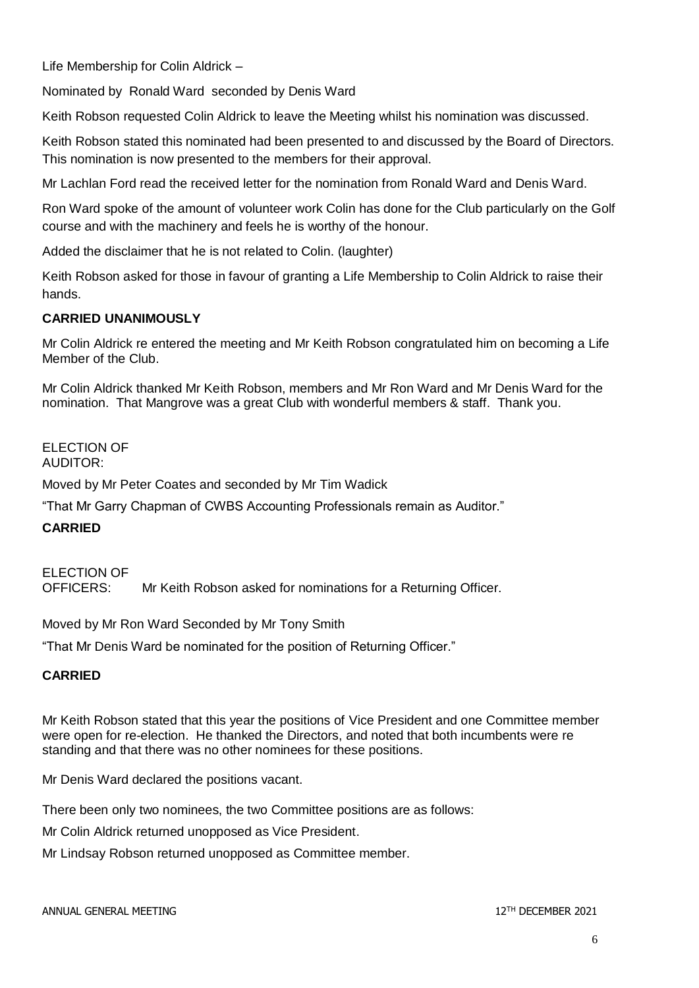Life Membership for Colin Aldrick –

Nominated by Ronald Ward seconded by Denis Ward

Keith Robson requested Colin Aldrick to leave the Meeting whilst his nomination was discussed.

Keith Robson stated this nominated had been presented to and discussed by the Board of Directors. This nomination is now presented to the members for their approval.

Mr Lachlan Ford read the received letter for the nomination from Ronald Ward and Denis Ward.

Ron Ward spoke of the amount of volunteer work Colin has done for the Club particularly on the Golf course and with the machinery and feels he is worthy of the honour.

Added the disclaimer that he is not related to Colin. (laughter)

Keith Robson asked for those in favour of granting a Life Membership to Colin Aldrick to raise their hands.

## **CARRIED UNANIMOUSLY**

Mr Colin Aldrick re entered the meeting and Mr Keith Robson congratulated him on becoming a Life Member of the Club.

Mr Colin Aldrick thanked Mr Keith Robson, members and Mr Ron Ward and Mr Denis Ward for the nomination. That Mangrove was a great Club with wonderful members & staff. Thank you.

ELECTION OF AUDITOR:

Moved by Mr Peter Coates and seconded by Mr Tim Wadick

"That Mr Garry Chapman of CWBS Accounting Professionals remain as Auditor."

## **CARRIED**

ELECTION OF OFFICERS: Mr Keith Robson asked for nominations for a Returning Officer.

Moved by Mr Ron Ward Seconded by Mr Tony Smith

"That Mr Denis Ward be nominated for the position of Returning Officer."

## **CARRIED**

Mr Keith Robson stated that this year the positions of Vice President and one Committee member were open for re-election. He thanked the Directors, and noted that both incumbents were re standing and that there was no other nominees for these positions.

Mr Denis Ward declared the positions vacant.

There been only two nominees, the two Committee positions are as follows:

Mr Colin Aldrick returned unopposed as Vice President.

Mr Lindsay Robson returned unopposed as Committee member.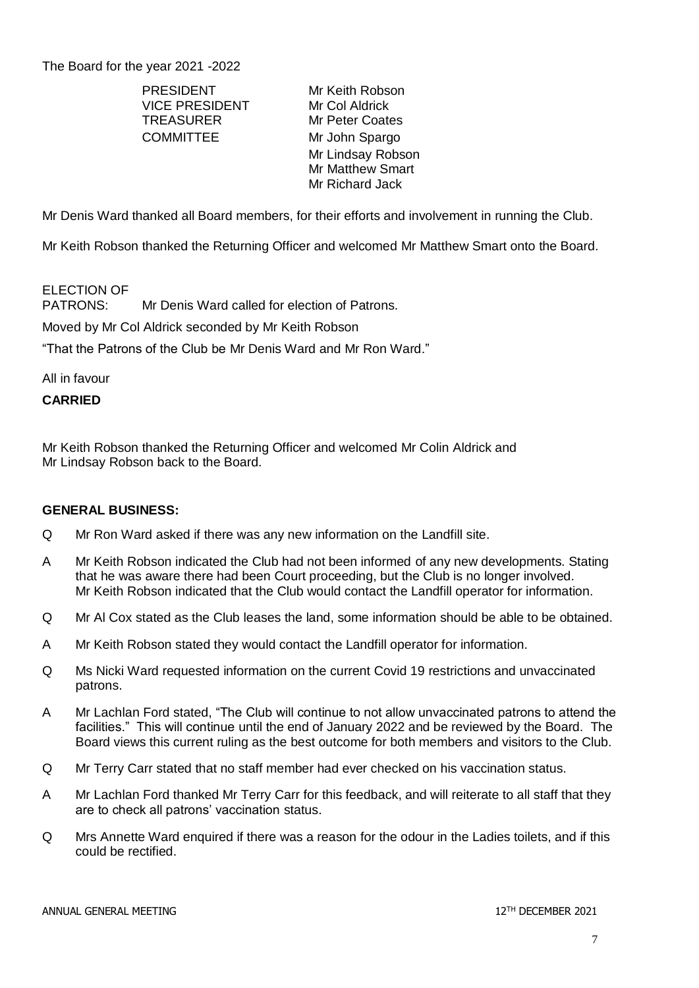The Board for the year 2021 -2022

PRESIDENT Mr Keith Robson VICE PRESIDENT Mr Col Aldrick TREASURER Mr Peter Coates COMMITTEE Mr John Spargo

Mr Lindsay Robson Mr Matthew Smart Mr Richard Jack

Mr Denis Ward thanked all Board members, for their efforts and involvement in running the Club.

Mr Keith Robson thanked the Returning Officer and welcomed Mr Matthew Smart onto the Board.

# ELECTION OF<br>PATRONS:

Mr Denis Ward called for election of Patrons.

Moved by Mr Col Aldrick seconded by Mr Keith Robson

"That the Patrons of the Club be Mr Denis Ward and Mr Ron Ward."

All in favour

## **CARRIED**

Mr Keith Robson thanked the Returning Officer and welcomed Mr Colin Aldrick and Mr Lindsay Robson back to the Board.

#### **GENERAL BUSINESS:**

- Q Mr Ron Ward asked if there was any new information on the Landfill site.
- A Mr Keith Robson indicated the Club had not been informed of any new developments. Stating that he was aware there had been Court proceeding, but the Club is no longer involved. Mr Keith Robson indicated that the Club would contact the Landfill operator for information.
- Q Mr Al Cox stated as the Club leases the land, some information should be able to be obtained.
- A Mr Keith Robson stated they would contact the Landfill operator for information.
- Q Ms Nicki Ward requested information on the current Covid 19 restrictions and unvaccinated patrons.
- A Mr Lachlan Ford stated, "The Club will continue to not allow unvaccinated patrons to attend the facilities." This will continue until the end of January 2022 and be reviewed by the Board. The Board views this current ruling as the best outcome for both members and visitors to the Club.
- Q Mr Terry Carr stated that no staff member had ever checked on his vaccination status.
- A Mr Lachlan Ford thanked Mr Terry Carr for this feedback, and will reiterate to all staff that they are to check all patrons' vaccination status.
- Q Mrs Annette Ward enquired if there was a reason for the odour in the Ladies toilets, and if this could be rectified.